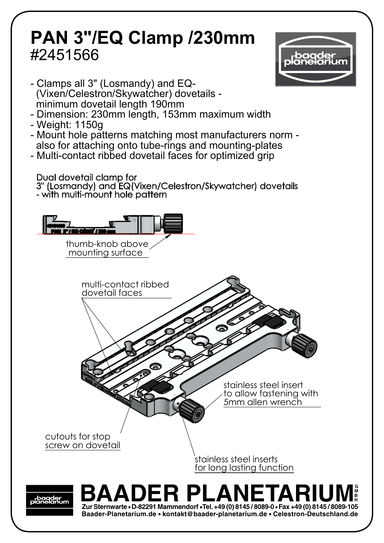## **PAN 3"/EQ Clamp /230mm** #2451566 **PAN 3"/EQ Clamp /230mm**



- Clamps all 3" (Losmandy) and EQ- - Glamps an 5 (Losmandy) and LQ-<br>(Vixen/Celestron/Skywatcher) dovetails -(Viken/Gelestron/Gkywatcher) dovetalis -<br>minimum dovetail length 190mm Clamne all 3" (Loemandy) and  $\mathsf{F}\mathsf{O}_{\mathsf{L}}$
- minimum dovetali iength Toomm<br>- Dimension: 230mm length, 153mm maximum width Dimension: Zoomin iengar, Toomin maximam widat<br>Meight: 1150g
- Weight: 1150g
- weight: Troog<br>- Mount hole patterns matching most manufacturers norm mount note patterne matering moot mandiable of normals also for attaching onto tube-rings and mounting-plates
- Multi-contact ribbed dovetail faces for optimized grip

Dual dovetail clamp for

- with multi-mount hole pattern 3" (Losmandy) and EQ(Vixen/Celestron/Skywatcher) dovetails